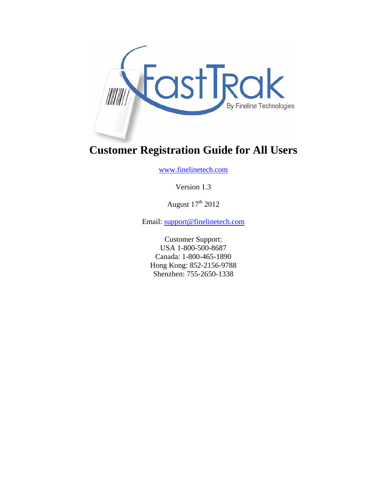

# **Customer Registration Guide for All Users**

www.finelinetech.com

Version 1.3

August  $17^{\text{th}}$  2012

Email: support@finelinetech.com

Customer Support: USA 1-800-500-8687 Canada: 1-800-465-1890 Hong Kong: 852-2156-9788 Shenzhen: 755-2650-1338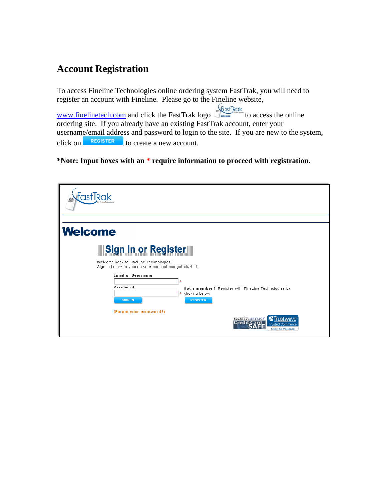## **Account Registration**

To access Fineline Technologies online ordering system FastTrak, you will need to register an account with Fineline. Please go to the Fineline website,

www.finelinetech.com and click the FastTrak logo to access the online ordering site. If you already have an existing FastTrak account, enter your username/email address and password to login to the site. If you are new to the system, click on **REGISTER** to create a new account. to create a new account.

#### **\*Note: Input boxes with an \* require information to proceed with registration.**

| <b>Welcome</b>                                                                                                                                             |
|------------------------------------------------------------------------------------------------------------------------------------------------------------|
| <b>Sign In or Register</b><br>Welcome back to FineLine Technologies!<br>Sign in below to access your account and get started.                              |
| <b>Email or Username</b><br>×<br>Password<br>Not a member? Register with FineLine Technologies by<br>* clicking below<br><b>REGISTER</b><br><b>SIGN IN</b> |
| (Forgot your password?)<br><b>X</b> Trustwave<br>securityMETRICS'<br>Credit Card<br><b>Trusted Commerce</b><br><b>Click to Validate</b>                    |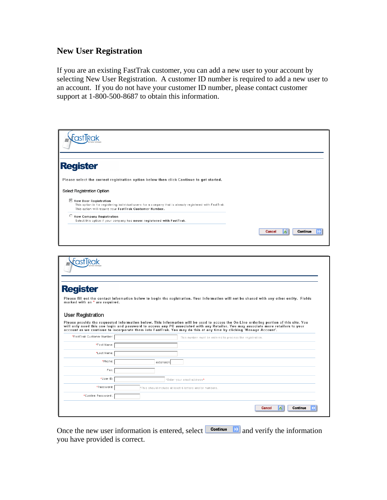### **New User Registration**

If you are an existing FastTrak customer, you can add a new user to your account by selecting New User Registration. A customer ID number is required to add a new user to an account. If you do not have your customer ID number, please contact customer support at 1-800-500-8687 to obtain this information.

| <b>Register</b>                                                        |                                                                                                                                                                                                                                                                                                                                                                                                                                                                                                                                                   |
|------------------------------------------------------------------------|---------------------------------------------------------------------------------------------------------------------------------------------------------------------------------------------------------------------------------------------------------------------------------------------------------------------------------------------------------------------------------------------------------------------------------------------------------------------------------------------------------------------------------------------------|
|                                                                        | Please select the correct registration option below then click Continue to get started.                                                                                                                                                                                                                                                                                                                                                                                                                                                           |
| Select Registration Option                                             |                                                                                                                                                                                                                                                                                                                                                                                                                                                                                                                                                   |
| I New User Registration                                                | This option is for registering individual users for a company that is already registered with FastTrak.<br>This option will require your FastTrak Customer Number.                                                                                                                                                                                                                                                                                                                                                                                |
| <b>C</b> New Company Registration                                      | Select this option if your company has never registered with FastTrak.                                                                                                                                                                                                                                                                                                                                                                                                                                                                            |
|                                                                        | Continue<br><b>Cancel</b><br>ōl                                                                                                                                                                                                                                                                                                                                                                                                                                                                                                                   |
|                                                                        |                                                                                                                                                                                                                                                                                                                                                                                                                                                                                                                                                   |
| FastTrak<br>marked with an * are required.<br><b>User Registration</b> | Please fill out the contact information below to begin the registration. Your information will not be shared with any other entity. Fields<br>Please provide the requested information below. This information will be used to access the On-Line ordering portion of this site. You<br>will only need this one login and password to access any PO associated with any Retailer. You may associate more retailers to your<br>account as we continue to incorporate them into FastTrak. You may do this at any time by clicking 'Manage Account'. |
| *FastTrak Customer Number:                                             | This number must be entered to process the registration.                                                                                                                                                                                                                                                                                                                                                                                                                                                                                          |
| *First Name:                                                           |                                                                                                                                                                                                                                                                                                                                                                                                                                                                                                                                                   |
| *Last Name:                                                            |                                                                                                                                                                                                                                                                                                                                                                                                                                                                                                                                                   |
| *Phone:                                                                | extension                                                                                                                                                                                                                                                                                                                                                                                                                                                                                                                                         |
| Fax:                                                                   |                                                                                                                                                                                                                                                                                                                                                                                                                                                                                                                                                   |
| <b>Register</b><br>*User ID:                                           | *Enter your email address*                                                                                                                                                                                                                                                                                                                                                                                                                                                                                                                        |
| *Password:                                                             | *This should include at least 6 letters and/or numbers                                                                                                                                                                                                                                                                                                                                                                                                                                                                                            |

Once the new user information is entered, select  $\Box$  and verify the information you have provided is correct.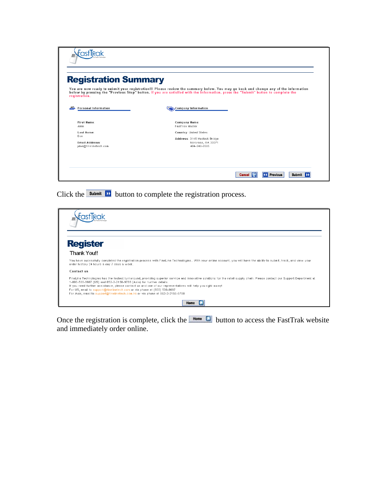| <b>Registration Summary</b>                                                                                                                                                                                                                                                                |                                                        |  |  |  |
|--------------------------------------------------------------------------------------------------------------------------------------------------------------------------------------------------------------------------------------------------------------------------------------------|--------------------------------------------------------|--|--|--|
| You are now ready to submit your registration!!! Please review the summary below. You may go back and change any of the information<br>below by pressing the "Previous Step" button. If you are satisifed with the information, press the "Submit" button to complete the<br>registration. |                                                        |  |  |  |
| <b>Personal Information</b>                                                                                                                                                                                                                                                                | Company Information                                    |  |  |  |
| First Name:<br>John                                                                                                                                                                                                                                                                        | Company Name:<br>FastTrak Master                       |  |  |  |
| Last Name:<br>Doe                                                                                                                                                                                                                                                                          | Country: United States<br>Address: 3145 Medlock Bridge |  |  |  |

Click the **Submit D** button to complete the registration process.

| <b>Register</b>                                                                                                                                                                                                                                                                                                                                                                                                                                                                                                                 |  |
|---------------------------------------------------------------------------------------------------------------------------------------------------------------------------------------------------------------------------------------------------------------------------------------------------------------------------------------------------------------------------------------------------------------------------------------------------------------------------------------------------------------------------------|--|
| <b>Thank You!!</b>                                                                                                                                                                                                                                                                                                                                                                                                                                                                                                              |  |
| You have sucessfully completed the registration process with FineLine Technologies With your online account, you will have the ability to submit, track, and view your<br>order history 24 hours a day 7 days a week.                                                                                                                                                                                                                                                                                                           |  |
| Contact us                                                                                                                                                                                                                                                                                                                                                                                                                                                                                                                      |  |
| FineLine Technologies has the fastest turnaround, providing superior service and innovative solutions for the retail supply chain. Please contact our Support Department at<br>1-800-500-8687 (US) and 852-2-2156-9788 (Asia) for further details.<br>If you need further assistance, please contact us and one of our representatives will help you right away!<br>For US, email to support@finelinetech.com or via phone at (800) 500-8687<br>For Asia, email to support@finelinetech.com.hk or via phone at 852-2-2156-9788. |  |
| Home                                                                                                                                                                                                                                                                                                                                                                                                                                                                                                                            |  |

Once the registration is complete, click the  $\Box$  button to access the FastTrak website and immediately order online.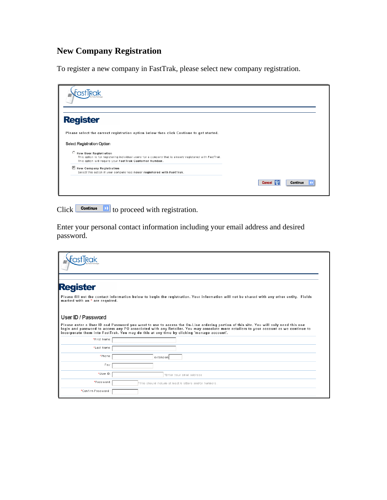## **New Company Registration**

To register a new company in FastTrak, please select new company registration.

| <b>Register</b>                                                                                                                                                                               |                      |          |
|-----------------------------------------------------------------------------------------------------------------------------------------------------------------------------------------------|----------------------|----------|
| Please select the correct registration option below then click Continue to get started.                                                                                                       |                      |          |
| Select Registration Option                                                                                                                                                                    |                      |          |
| C New User Registration<br>This option is for registering individual users for a company that is already registered with FastTrak.<br>This option will require your FastTrak Customer Number. |                      |          |
| New Company Registration<br>Select this option if your company has never registered with FastTrak.                                                                                            |                      |          |
|                                                                                                                                                                                               | <b>Cancel</b><br>152 | Continue |
|                                                                                                                                                                                               |                      |          |

Click  $\Box$  continue **D** to proceed with registration.

Enter your personal contact information including your email address and desired password.

| <b>Register</b>                |                                                                                                                                                                                                                                                                                                                                                                           |
|--------------------------------|---------------------------------------------------------------------------------------------------------------------------------------------------------------------------------------------------------------------------------------------------------------------------------------------------------------------------------------------------------------------------|
| marked with an * are required. | Please fill out the contact information below to begin the registration. Your information will not be shared with any other entity. Fields                                                                                                                                                                                                                                |
| User ID / Password             |                                                                                                                                                                                                                                                                                                                                                                           |
|                                | Please enter a User ID and Password you want to use to access the On-Line ordering portion of this site. You will only need this one<br>login and password to access any PO associated with any Retailer. You may associate more retailers to your account as we continue to<br>incorporate them into FastTrak. You may do this at any time by clicking 'manage account'. |
| *First Name:                   |                                                                                                                                                                                                                                                                                                                                                                           |
| *Last Name:                    |                                                                                                                                                                                                                                                                                                                                                                           |
| *Phone:                        | extension                                                                                                                                                                                                                                                                                                                                                                 |
| Fax:                           |                                                                                                                                                                                                                                                                                                                                                                           |
| *User ID:                      | *Enter your email address                                                                                                                                                                                                                                                                                                                                                 |
| *Password:                     | *This should include at least 6 letters and/or numbers.                                                                                                                                                                                                                                                                                                                   |
| *Confirm Password:             |                                                                                                                                                                                                                                                                                                                                                                           |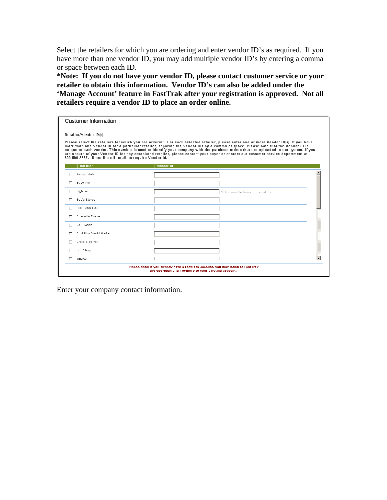Select the retailers for which you are ordering and enter vendor ID's as required. If you have more than one vendor ID, you may add multiple vendor ID's by entering a comma or space between each ID.

**\*Note: If you do not have your vendor ID, please contact customer service or your retailer to obtain this information. Vendor ID's can also be added under the 'Manage Account' feature in FastTrak after your registration is approved. Not all retailers require a vendor ID to place an order online.** 

| <b>Customer Information</b>                               |                                                                                                                                           |                                                                                                                                                                                                                                                                                                                                                                                                                                                                                                                                                          |  |
|-----------------------------------------------------------|-------------------------------------------------------------------------------------------------------------------------------------------|----------------------------------------------------------------------------------------------------------------------------------------------------------------------------------------------------------------------------------------------------------------------------------------------------------------------------------------------------------------------------------------------------------------------------------------------------------------------------------------------------------------------------------------------------------|--|
| Retailer/Vendor ID(s)                                     |                                                                                                                                           |                                                                                                                                                                                                                                                                                                                                                                                                                                                                                                                                                          |  |
| 800-500-8687. *Note: Not all retailers require Vendor Id. |                                                                                                                                           | Please select the retailers for which you are ordering. For each selected retailer, please enter one or more Vendor ID(s). If you have<br>more than one Vendor ID for a particular retailer, separate the Vendor IDs by a comma or space. Please note that the Vendor ID is<br>unique to each vendor. This number is used to identify your company with the purchase orders that are uploaded to our system. If you<br>are unsure of your Vendor ID for any associated retailer, please contact your buyer or contact our customer service department at |  |
| Retailer                                                  | Vendor ID                                                                                                                                 |                                                                                                                                                                                                                                                                                                                                                                                                                                                                                                                                                          |  |
| Aeropostale                                               |                                                                                                                                           |                                                                                                                                                                                                                                                                                                                                                                                                                                                                                                                                                          |  |
| Bass Pro                                                  |                                                                                                                                           |                                                                                                                                                                                                                                                                                                                                                                                                                                                                                                                                                          |  |
| BigM Inc.                                                 |                                                                                                                                           | *Enter your 6-Characters vendor id                                                                                                                                                                                                                                                                                                                                                                                                                                                                                                                       |  |
| <b>Bob's Stores</b>                                       |                                                                                                                                           |                                                                                                                                                                                                                                                                                                                                                                                                                                                                                                                                                          |  |
| BOLLMAN HAT                                               |                                                                                                                                           |                                                                                                                                                                                                                                                                                                                                                                                                                                                                                                                                                          |  |
| Charlotte Russe                                           |                                                                                                                                           |                                                                                                                                                                                                                                                                                                                                                                                                                                                                                                                                                          |  |
| Citi Trends                                               |                                                                                                                                           |                                                                                                                                                                                                                                                                                                                                                                                                                                                                                                                                                          |  |
| Cost Plus World Market                                    |                                                                                                                                           |                                                                                                                                                                                                                                                                                                                                                                                                                                                                                                                                                          |  |
| Crate & Barrel                                            |                                                                                                                                           |                                                                                                                                                                                                                                                                                                                                                                                                                                                                                                                                                          |  |
| Deb Shops                                                 |                                                                                                                                           |                                                                                                                                                                                                                                                                                                                                                                                                                                                                                                                                                          |  |
| dELiAs                                                    |                                                                                                                                           |                                                                                                                                                                                                                                                                                                                                                                                                                                                                                                                                                          |  |
|                                                           | *Please note: if you already have a FastTrak account, you may logon to FastTrak<br>and add additional retailers to your existing account. |                                                                                                                                                                                                                                                                                                                                                                                                                                                                                                                                                          |  |

Enter your company contact information.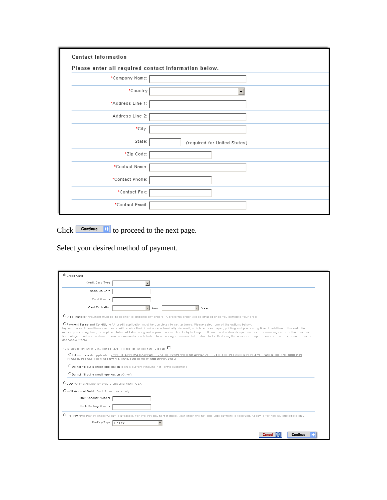| <b>Contact Information</b>                           |                              |  |  |  |
|------------------------------------------------------|------------------------------|--|--|--|
| Please enter all required contact information below. |                              |  |  |  |
| *Company Name:                                       |                              |  |  |  |
| *Country                                             |                              |  |  |  |
| *Address Line 1:                                     |                              |  |  |  |
| Address Line 2:                                      |                              |  |  |  |
| *City:                                               |                              |  |  |  |
| State:                                               | (required for United States) |  |  |  |
| *Zip Code:                                           |                              |  |  |  |
| *Contact Name:                                       |                              |  |  |  |
| *Contact Phone:                                      |                              |  |  |  |
| *Contact Fax:                                        |                              |  |  |  |
| *Contact Email:                                      |                              |  |  |  |

 $Click$  **Continue D** to proceed to the next page.

Select your desired method of payment.

| $\overline{\phantom{a}}$ |                                                                                                                                                                                                                                                                                                                                                                                                                                                                                                                                                                                                                                                                               |
|--------------------------|-------------------------------------------------------------------------------------------------------------------------------------------------------------------------------------------------------------------------------------------------------------------------------------------------------------------------------------------------------------------------------------------------------------------------------------------------------------------------------------------------------------------------------------------------------------------------------------------------------------------------------------------------------------------------------|
|                          |                                                                                                                                                                                                                                                                                                                                                                                                                                                                                                                                                                                                                                                                               |
|                          |                                                                                                                                                                                                                                                                                                                                                                                                                                                                                                                                                                                                                                                                               |
|                          |                                                                                                                                                                                                                                                                                                                                                                                                                                                                                                                                                                                                                                                                               |
| $\vert$                  | $\blacktriangledown$<br>Year<br>Month                                                                                                                                                                                                                                                                                                                                                                                                                                                                                                                                                                                                                                         |
|                          | O Wire Transfer *Payment must be made prior to shipping any orders. A proforma order will be emailed once you complete your order                                                                                                                                                                                                                                                                                                                                                                                                                                                                                                                                             |
|                          | C Payment Terms and Conditions *A credit application must be completed to set up terms. Please select one of the options below.<br>Payment terms & conditions customers will receive their invoices electronically via email, which reduces paper, printing and processing time. In addition to the reduction of<br>invoice processing time, the implementation of E-Invoicing will improve service levels by helping to alleviate lost and/or delayed invoices. E-Invoicing ensures that FineLine<br>Technologies and our customers make an invaluable contribution to achieving environmental sustainability. Reducing the number of paper invoices saves trees and reduces |
|                          |                                                                                                                                                                                                                                                                                                                                                                                                                                                                                                                                                                                                                                                                               |
|                          | O Fill out a credit application (CREDIT APPLICATIONS WILL NOT BE PROCESSED OR APPROVED UNTIL THE 1ST ORDER IS PLACED. WHEN THE 1ST ORDER IS                                                                                                                                                                                                                                                                                                                                                                                                                                                                                                                                   |
|                          |                                                                                                                                                                                                                                                                                                                                                                                                                                                                                                                                                                                                                                                                               |
|                          |                                                                                                                                                                                                                                                                                                                                                                                                                                                                                                                                                                                                                                                                               |
|                          |                                                                                                                                                                                                                                                                                                                                                                                                                                                                                                                                                                                                                                                                               |
|                          |                                                                                                                                                                                                                                                                                                                                                                                                                                                                                                                                                                                                                                                                               |
|                          |                                                                                                                                                                                                                                                                                                                                                                                                                                                                                                                                                                                                                                                                               |
|                          |                                                                                                                                                                                                                                                                                                                                                                                                                                                                                                                                                                                                                                                                               |
|                          | O Pre-Pay *Pre-Pay by check/Alipay is available. For Pre-Pay payment method, your order will not ship until payment is received. Alipay is for non-US customers only.                                                                                                                                                                                                                                                                                                                                                                                                                                                                                                         |
|                          | $\overline{\phantom{a}}$                                                                                                                                                                                                                                                                                                                                                                                                                                                                                                                                                                                                                                                      |
|                          | If you wish to opt out of E-Invoicing please click the opt out box here. Opt-out: $\square$<br>PLACED, PLEASE THEN ALLOW 4-5 DAYS FOR REVIEW AND APPROVAL.)<br>O Do not fill out a credit application (I am a current FineLine Net Terms customer)<br>O Do not fill out a credit application (Other)<br>CCOD *Only available for orders shipping within USA<br>C ACH Account Debit *For US customers only<br>PrePay-Type: Check                                                                                                                                                                                                                                               |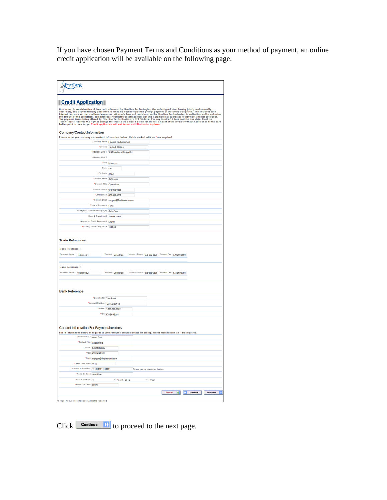If you have chosen Payment Terms and Conditions as your method of payment, an online credit application will be available on the following page.

| <b>Credit Application</b>                                                  |                                          |                                                                                                                                                                                                                               |                                 |
|----------------------------------------------------------------------------|------------------------------------------|-------------------------------------------------------------------------------------------------------------------------------------------------------------------------------------------------------------------------------|---------------------------------|
|                                                                            |                                          | Guarantee: In consideration of the credit advanced by FineLine Technologies, the undersigned does hereby jointly and severally, and unconditionally guarantee to FineLine Technologies the prompt payment of the entire oblig |                                 |
| <b>Company/Contact Information</b>                                         |                                          |                                                                                                                                                                                                                               |                                 |
|                                                                            |                                          | Please enter you company and contact information below. Fields marked with an * are required.                                                                                                                                 |                                 |
|                                                                            |                                          | *Company Name: Fineline Technologies                                                                                                                                                                                          |                                 |
|                                                                            |                                          | *Country Linited States                                                                                                                                                                                                       |                                 |
|                                                                            |                                          | *Address Line 1: 3145 Medlock Bridge Rd.                                                                                                                                                                                      |                                 |
|                                                                            | Address Line 2:                          |                                                                                                                                                                                                                               |                                 |
|                                                                            |                                          | *City: Norcross                                                                                                                                                                                                               |                                 |
|                                                                            | State: GA                                |                                                                                                                                                                                                                               |                                 |
|                                                                            | *Zip Code: 30071                         |                                                                                                                                                                                                                               |                                 |
|                                                                            | *Contact Name: John Doe                  |                                                                                                                                                                                                                               |                                 |
|                                                                            | *Contact Title: Operations               |                                                                                                                                                                                                                               |                                 |
|                                                                            | *Contact Phone: 678-969-0835             |                                                                                                                                                                                                                               |                                 |
|                                                                            | *Contact Fax: 678-969-9201               |                                                                                                                                                                                                                               |                                 |
|                                                                            |                                          | *Contact Email: support@finelinetech.com                                                                                                                                                                                      |                                 |
|                                                                            | "Type of Business: Retail                |                                                                                                                                                                                                                               |                                 |
|                                                                            | Name(s) of Owners/Principal(s): John Doe |                                                                                                                                                                                                                               |                                 |
|                                                                            |                                          |                                                                                                                                                                                                                               |                                 |
|                                                                            | Dunn & Bradstreet#: 12345678910          |                                                                                                                                                                                                                               |                                 |
|                                                                            | "Amount of Credit Requested: 500.00      |                                                                                                                                                                                                                               |                                 |
|                                                                            | *Monthly Volume Expected: 1000.00        |                                                                                                                                                                                                                               |                                 |
|                                                                            |                                          |                                                                                                                                                                                                                               |                                 |
| <b>Trade References</b><br><b>Trade Reference 1</b>                        |                                          | *Contact: John Doe *Contact Phone: 678-969-0835 *Contact Fax: 678-969-9201                                                                                                                                                    |                                 |
| "Company Name: Reference 1                                                 |                                          |                                                                                                                                                                                                                               |                                 |
|                                                                            |                                          |                                                                                                                                                                                                                               |                                 |
| <b>Trade Reference 2</b>                                                   |                                          |                                                                                                                                                                                                                               |                                 |
| *Company Name: Reference 2                                                 |                                          | *Contact: John Doe<br>*Contact Phone: 678-969-0835 *Contact Fax: 678-969-9201                                                                                                                                                 |                                 |
| <b>Bank Reference</b>                                                      | <b>*Bank Name: TestBank</b>              |                                                                                                                                                                                                                               |                                 |
|                                                                            | *Account Number: 123456789012            |                                                                                                                                                                                                                               |                                 |
|                                                                            |                                          | *Phone: 1-800-500-8687                                                                                                                                                                                                        |                                 |
|                                                                            |                                          | *Fax: 678-969-9201                                                                                                                                                                                                            |                                 |
|                                                                            |                                          | Fill in information below in regards to who FineLine should contact for billing. Fields marked with an * are required.                                                                                                        |                                 |
| *Contact Name: John Doe                                                    |                                          |                                                                                                                                                                                                                               |                                 |
| *Contact Title: Accounting                                                 |                                          |                                                                                                                                                                                                                               |                                 |
|                                                                            | *Phone: 678-969-0835                     |                                                                                                                                                                                                                               |                                 |
|                                                                            | "Fax: 678-969-9201                       |                                                                                                                                                                                                                               |                                 |
|                                                                            | "Email: support@finelinetech.com         |                                                                                                                                                                                                                               |                                 |
| *Credit Card Type: Visa                                                    |                                          |                                                                                                                                                                                                                               |                                 |
| *Credit Card Number: 4111111111111111                                      |                                          | Please use no spaces or dashes                                                                                                                                                                                                |                                 |
|                                                                            |                                          |                                                                                                                                                                                                                               |                                 |
| <b>Contact Information For Payment/Invoices</b><br>*Name On Card: John Doe |                                          |                                                                                                                                                                                                                               |                                 |
| *Card Expiration: 4                                                        |                                          | $-$ *Month 2016<br>- Year                                                                                                                                                                                                     |                                 |
| "Billing Zip Code: 30071                                                   |                                          | Cancel                                                                                                                                                                                                                        | 0 Previous<br>Continue <b>D</b> |

 $Click$  **Continue D** to proceed to the next page.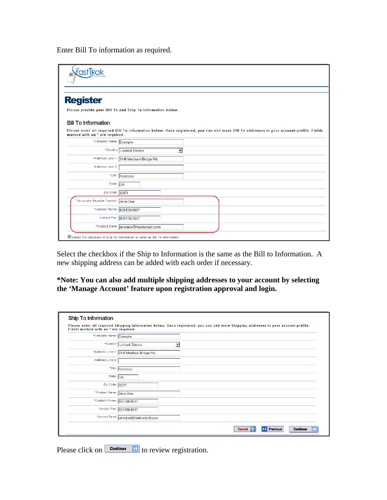Enter Bill To information as required.

| <b>astTrak</b>                                             |                                          |                          |                                                                                                                                          |
|------------------------------------------------------------|------------------------------------------|--------------------------|------------------------------------------------------------------------------------------------------------------------------------------|
| <b>Register</b>                                            |                                          |                          |                                                                                                                                          |
| Please provide your Bill To and Ship To information below. |                                          |                          |                                                                                                                                          |
| <b>Bill To Information</b>                                 |                                          |                          |                                                                                                                                          |
| marked with an * are required.                             |                                          |                          | Please enter all required Bill To information below. Once registered, you can add more Bill To addresses to your account profile. Fields |
| *Company Name: Example                                     |                                          |                          |                                                                                                                                          |
|                                                            | *Country United States                   | $\overline{\phantom{0}}$ |                                                                                                                                          |
|                                                            | *Address Line 1: 3145 Medlock Bridge Rd. |                          |                                                                                                                                          |
| Address Line 2:                                            |                                          |                          |                                                                                                                                          |
|                                                            | *City: Norcross                          |                          |                                                                                                                                          |
| State: GA                                                  |                                          |                          |                                                                                                                                          |
| Zip Code: 30071                                            |                                          |                          |                                                                                                                                          |
| *Accounts Payable Contact: Jane Doe                        |                                          |                          |                                                                                                                                          |
| *Contact Phone: 800-500-8687                               |                                          |                          |                                                                                                                                          |
|                                                            | Contact Fax: 800-500-8687                |                          |                                                                                                                                          |
|                                                            |                                          |                          |                                                                                                                                          |

Select the checkbox if the Ship to Information is the same as the Bill to Information. A new shipping address can be added with each order if necessary.

**\*Note: You can also add multiple shipping addresses to your account by selecting the 'Manage Account' feature upon registration approval and login.** 

| Ship To Information                   |                                                                                                                                     |
|---------------------------------------|-------------------------------------------------------------------------------------------------------------------------------------|
| Fields marked with an * are required. | Please enter all required Shipping information below. Once registered, you can add more Shipping addresses to your account profile. |
| *Company Name: Example                |                                                                                                                                     |
|                                       | *Country United States                                                                                                              |
|                                       | *Address Line 1: 3145 Medlock Bridge Rd.                                                                                            |
| Address Line 2:                       |                                                                                                                                     |
|                                       | *City: Norcross                                                                                                                     |
| State: $\overline{\mathsf{GA}}$       |                                                                                                                                     |
| Zip Code: $\boxed{30071}$             |                                                                                                                                     |
| *Contact Name: Jane Doe               |                                                                                                                                     |
| *Contact Phone: 800-500-8687          |                                                                                                                                     |
|                                       | Contact Fax: 800-500-8687                                                                                                           |
|                                       | Contact Email: panedoe@finelinetech.com                                                                                             |
|                                       | <b>K</b> Previous<br>Continue<br><b>Cancel</b><br><b>ISS</b>                                                                        |

Please click on  $\Box$  **Continue**  $\Box$  to review registration.